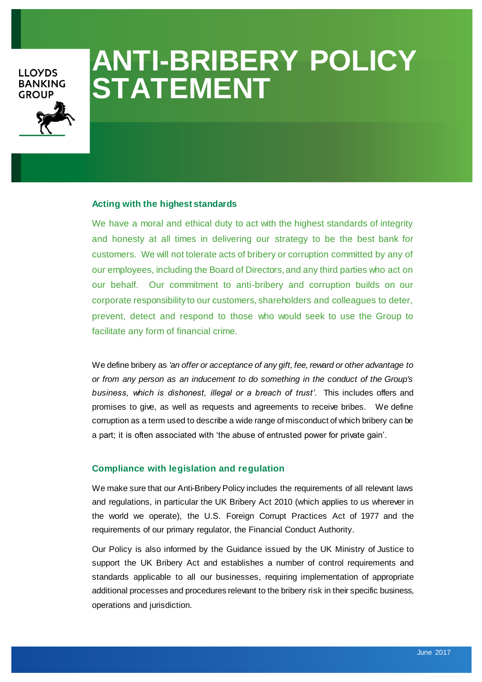# **LLOYDS BANKING GROUP**

# **ANTI-BRIBERY POLICY STATEMENT**

#### **Acting with the highest standards**

We have a moral and ethical duty to act with the highest standards of integrity and honesty at all times in delivering our strategy to be the best bank for customers. We will not tolerate acts of bribery or corruption committed by any of our employees, including the Board of Directors, and any third parties who act on our behalf. Our commitment to anti-bribery and corruption builds on our corporate responsibility to our customers, shareholders and colleagues to deter, prevent, detect and respond to those who would seek to use the Group to facilitate any form of financial crime.

We define bribery as *'an offer or acceptance of any gift, fee, reward or other advantage to or from any person as an inducement to do something in the conduct of the Group's business, which is dishonest, illegal or a breach of trust'*. This includes offers and promises to give, as well as requests and agreements to receive bribes. We define corruption as a term used to describe a wide range of misconduct of which bribery can be a part; it is often associated with 'the abuse of entrusted power for private gain'.

### **Compliance with legislation and regulation**

We make sure that our Anti-Bribery Policy includes the requirements of all relevant laws and regulations, in particular the UK Bribery Act 2010 (which applies to us wherever in the world we operate), the U.S. Foreign Corrupt Practices Act of 1977 and the requirements of our primary regulator, the Financial Conduct Authority.

Our Policy is also informed by the Guidance issued by the UK Ministry of Justice to support the UK Bribery Act and establishes a number of control requirements and standards applicable to all our businesses, requiring implementation of appropriate additional processes and procedures relevant to the bribery risk in their specific business, operations and jurisdiction.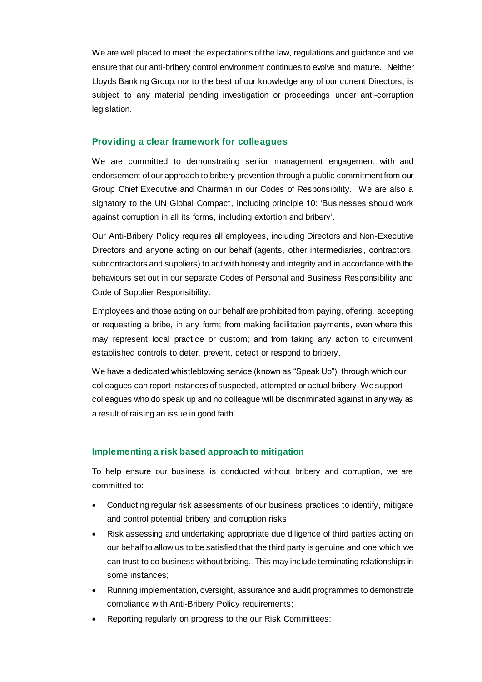We are well placed to meet the expectations of the law, regulations and guidance and we ensure that our anti-bribery control environment continues to evolve and mature. Neither Lloyds Banking Group, nor to the best of our knowledge any of our current Directors, is subject to any material pending investigation or proceedings under anti-corruption legislation.

## **Providing a clear framework for colleagues**

We are committed to demonstrating senior management engagement with and endorsement of our approach to bribery prevention through a public commitment from our Group Chief Executive and Chairman in our Codes of Responsibility. We are also a signatory to the UN Global Compact, including principle 10: 'Businesses should work against corruption in all its forms, including extortion and bribery'.

Our Anti-Bribery Policy requires all employees, including Directors and Non-Executive Directors and anyone acting on our behalf (agents, other intermediaries, contractors, subcontractors and suppliers) to act with honesty and integrity and in accordance with the behaviours set out in our separate Codes of Personal and Business Responsibility and Code of Supplier Responsibility.

Employees and those acting on our behalf are prohibited from paying, offering, accepting or requesting a bribe, in any form; from making facilitation payments, even where this may represent local practice or custom; and from taking any action to circumvent established controls to deter, prevent, detect or respond to bribery.

We have a dedicated whistleblowing service (known as "Speak Up"), through which our colleagues can report instances of suspected, attempted or actual bribery. We support colleagues who do speak up and no colleague will be discriminated against in any way as a result of raising an issue in good faith.

#### **Implementing a risk based approach to mitigation**

To help ensure our business is conducted without bribery and corruption, we are committed to:

- Conducting regular risk assessments of our business practices to identify, mitigate and control potential bribery and corruption risks;
- Risk assessing and undertaking appropriate due diligence of third parties acting on our behalf to allow us to be satisfied that the third party is genuine and one which we can trust to do business without bribing. This may include terminating relationships in some instances;
- Running implementation, oversight, assurance and audit programmes to demonstrate compliance with Anti-Bribery Policy requirements;
- Reporting regularly on progress to the our Risk Committees;